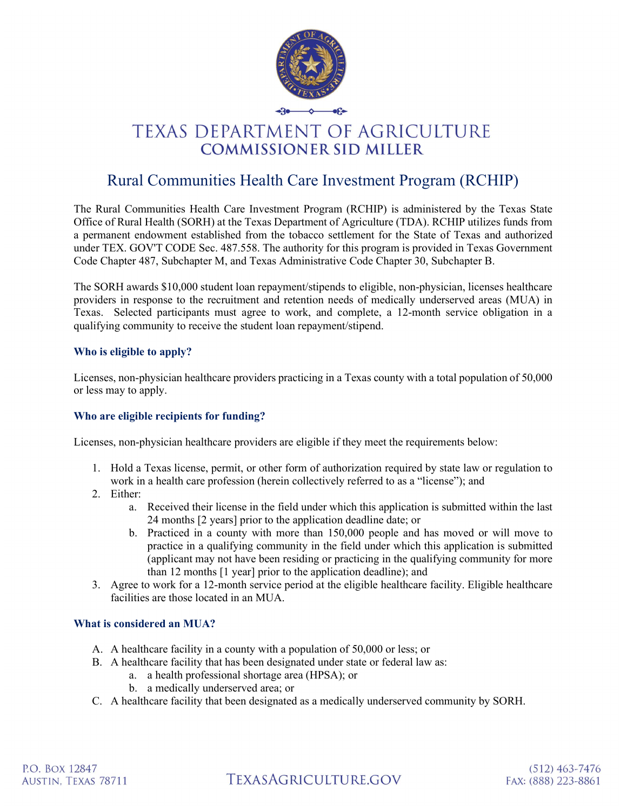

# **TEXAS DEPARTMENT OF AGRICULTURE COMMISSIONER SID MILLER**

# Rural Communities Health Care Investment Program (RCHIP)

The Rural Communities Health Care Investment Program (RCHIP) is administered by the Texas State Office of Rural Health (SORH) at the Texas Department of Agriculture (TDA). RCHIP utilizes funds from a permanent endowment established from the tobacco settlement for the State of Texas and authorized under TEX. GOV'T CODE Sec. 487.558. The authority for this program is provided in Texas Government Code Chapter 487, Subchapter M, and Texas Administrative Code Chapter 30, Subchapter B.

The SORH awards \$10,000 student loan repayment/stipends to eligible, non-physician, licenses healthcare providers in response to the recruitment and retention needs of medically underserved areas (MUA) in Texas. Selected participants must agree to work, and complete, a 12-month service obligation in a qualifying community to receive the student loan repayment/stipend.

## Who is eligible to apply?

Licenses, non-physician healthcare providers practicing in a Texas county with a total population of 50,000 or less may to apply.

### Who are eligible recipients for funding?

Licenses, non-physician healthcare providers are eligible if they meet the requirements below:

- 1. Hold a Texas license, permit, or other form of authorization required by state law or regulation to work in a health care profession (herein collectively referred to as a "license"); and
- 2. Either:
	- a. Received their license in the field under which this application is submitted within the last 24 months [2 years] prior to the application deadline date; or
	- b. Practiced in a county with more than 150,000 people and has moved or will move to practice in a qualifying community in the field under which this application is submitted (applicant may not have been residing or practicing in the qualifying community for more than 12 months [1 year] prior to the application deadline); and
- 3. Agree to work for a 12-month service period at the eligible healthcare facility. Eligible healthcare facilities are those located in an MUA.

### What is considered an MUA?

- A. A healthcare facility in a county with a population of 50,000 or less; or
- B. A healthcare facility that has been designated under state or federal law as:
	- a. a health professional shortage area (HPSA); or
	- b. a medically underserved area; or
- C. A healthcare facility that been designated as a medically underserved community by SORH.